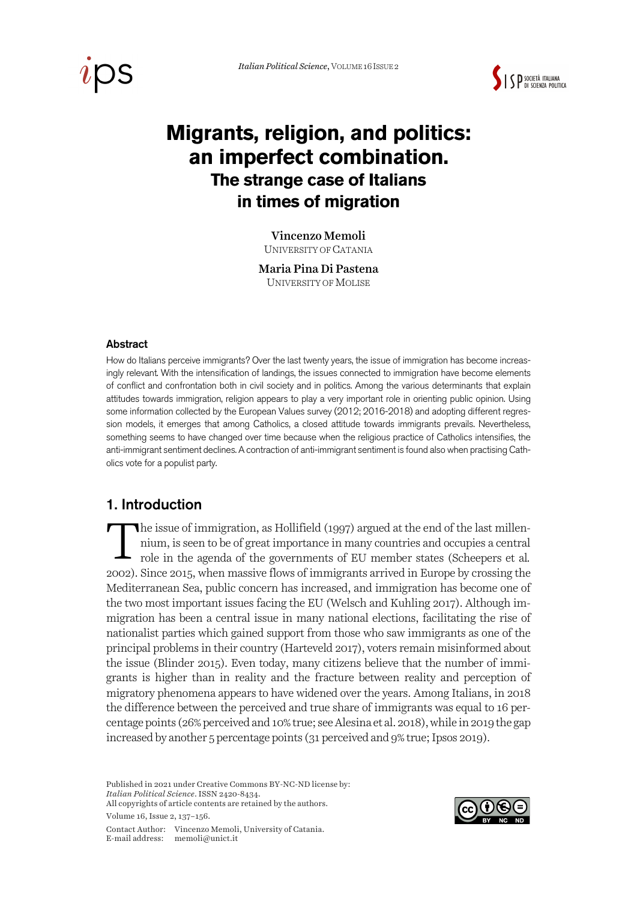



# **Migrants, religion, and politics: an imperfect combination. The strange case of Italians in times of migration**

#### Vincenzo Memoli

UNIVERSITY OF CATANIA

Maria Pina Di Pastena UNIVERSITY OF MOLISE

#### Abstract

How do Italians perceive immigrants? Over the last twenty years, the issue of immigration has become increasingly relevant. With the intensification of landings, the issues connected to immigration have become elements of conflict and confrontation both in civil society and in politics. Among the various determinants that explain attitudes towards immigration, religion appears to play a very important role in orienting public opinion. Using some information collected by the European Values survey (2012; 2016-2018) and adopting different regression models, it emerges that among Catholics, a closed attitude towards immigrants prevails. Nevertheless, something seems to have changed over time because when the religious practice of Catholics intensifies, the anti-immigrant sentiment declines. A contraction of anti-immigrant sentiment is found also when practising Catholics vote for a populist party.

## 1. Introduction

he issue of immigration, as Hollifield (1997) argued at the end of the last millennium, is seen to be of great importance in many countries and occupies a central role in the agenda of the governments of EU member states (Scheepers et al*.* 2002). Since 2015, when massive flows of immigrants arrived in Europe by crossing the Mediterranean Sea, public concern has increased, and immigration has become one of the two most important issues facing the EU (Welsch and Kuhling 2017). Although immigration has been a central issue in many national elections, facilitating the rise of nationalist parties which gained support from those who saw immigrants as one of the principal problems in their country (Harteveld 2017), voters remain misinformed about the issue (Blinder 2015). Even today, many citizens believe that the number of immigrants is higher than in reality and the fracture between reality and perception of migratory phenomena appears to have widened over the years. Among Italians, in 2018 the difference between the perceived and true share of immigrants was equal to 16 percentage points (26% perceived and 10% true; see Alesina et al. 2018), while in 2019 the gap increased by another 5 percentage points (31 perceived and 9% true; Ipsos 2019). T

Published in 2021 under Creative Commons BY-NC-ND license by: *Italian Political Science*. ISSN 2420-8434. All copyrights of article contents are retained by the authors.

Volume 16, Issue 2, 137–156.

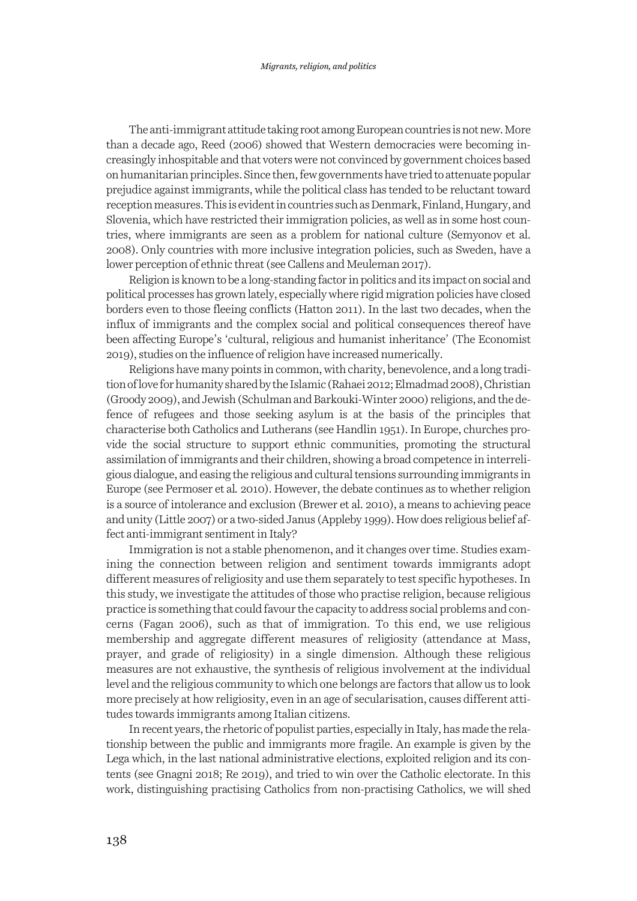The anti-immigrant attitude taking root among European countries is not new. More than a decade ago, Reed (2006) showed that Western democracies were becoming increasingly inhospitable and that voters were not convinced by government choices based on humanitarian principles. Since then, few governments have tried to attenuate popular prejudice against immigrants, while the political class has tended to be reluctant toward reception measures. This is evident in countries such as Denmark, Finland, Hungary, and Slovenia, which have restricted their immigration policies, as well as in some host countries, where immigrants are seen as a problem for national culture (Semyonov et al. 2008). Only countries with more inclusive integration policies, such as Sweden, have a lower perception of ethnic threat (see Callens and Meuleman 2017).

Religion is known to be a long-standing factor in politics and its impact on social and political processes has grown lately, especially where rigid migration policies have closed borders even to those fleeing conflicts (Hatton 2011). In the last two decades, when the influx of immigrants and the complex social and political consequences thereof have been affecting Europe's 'cultural, religious and humanist inheritance' (The Economist 2019), studies on the influence of religion have increased numerically.

Religions have many points in common, with charity, benevolence, and a long tradition of love for humanity shared by the Islamic (Rahaei 2012; Elmadmad 2008), Christian (Groody 2009), and Jewish (Schulman and Barkouki-Winter 2000) religions, and the defence of refugees and those seeking asylum is at the basis of the principles that characterise both Catholics and Lutherans (see Handlin 1951). In Europe, churches provide the social structure to support ethnic communities, promoting the structural assimilation of immigrants and their children, showing a broad competence in interreligious dialogue, and easing the religious and cultural tensions surrounding immigrants in Europe (see Permoser et al*.* 2010). However, the debate continues as to whether religion is a source of intolerance and exclusion (Brewer et al. 2010), a means to achieving peace and unity (Little 2007) or a two-sided Janus (Appleby 1999). How does religious belief affect anti-immigrant sentiment in Italy?

Immigration is not a stable phenomenon, and it changes over time. Studies examining the connection between religion and sentiment towards immigrants adopt different measures of religiosity and use them separately to test specific hypotheses. In this study, we investigate the attitudes of those who practise religion, because religious practice is something that could favour the capacity to address social problems and concerns (Fagan 2006), such as that of immigration. To this end, we use religious membership and aggregate different measures of religiosity (attendance at Mass, prayer, and grade of religiosity) in a single dimension. Although these religious measures are not exhaustive, the synthesis of religious involvement at the individual level and the religious community to which one belongs are factors that allow us to look more precisely at how religiosity, even in an age of secularisation, causes different attitudes towards immigrants among Italian citizens.

In recent years, the rhetoric of populist parties, especially in Italy, has made the relationship between the public and immigrants more fragile. An example is given by the Lega which, in the last national administrative elections, exploited religion and its contents (see Gnagni 2018; Re 2019), and tried to win over the Catholic electorate. In this work, distinguishing practising Catholics from non-practising Catholics, we will shed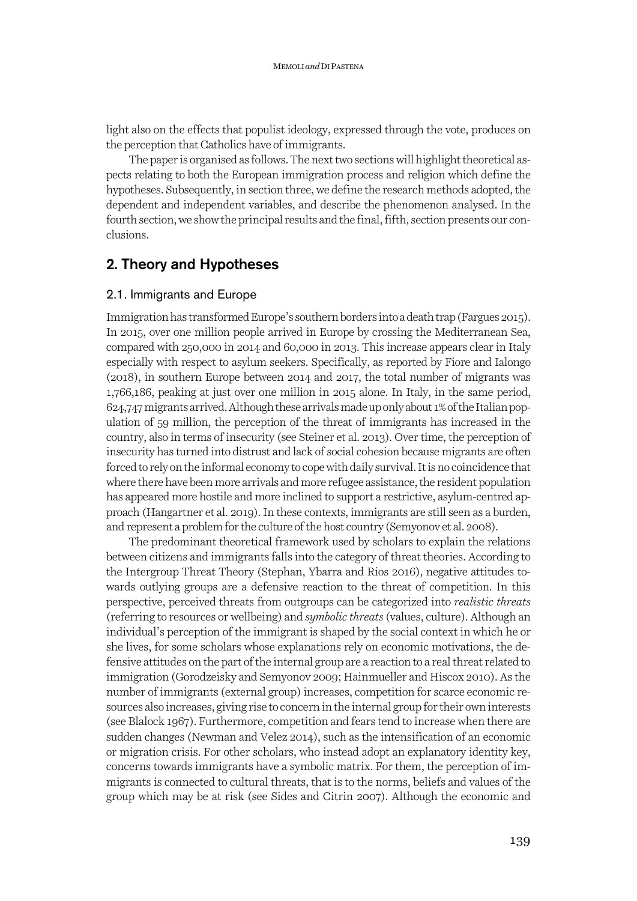light also on the effects that populist ideology, expressed through the vote, produces on the perception that Catholics have of immigrants.

The paper is organised as follows. The next two sections will highlight theoretical aspects relating to both the European immigration process and religion which define the hypotheses. Subsequently, in section three, we define the research methods adopted, the dependent and independent variables, and describe the phenomenon analysed. In the fourth section, we show the principal results and the final, fifth, section presents our conclusions.

# 2. Theory and Hypotheses

#### 2.1. Immigrants and Europe

Immigration has transformed Europe's southern borders into a death trap (Fargues 2015). In 2015, over one million people arrived in Europe by crossing the Mediterranean Sea, compared with 250,000 in 2014 and 60,000 in 2013. This increase appears clear in Italy especially with respect to asylum seekers. Specifically, as reported by Fiore and Ialongo (2018), in southern Europe between 2014 and 2017, the total number of migrants was 1,766,186, peaking at just over one million in 2015 alone. In Italy, in the same period, 624,747 migrants arrived. Although these arrivals made up only about 1% of the Italian population of 59 million, the perception of the threat of immigrants has increased in the country, also in terms of insecurity (see Steiner et al. 2013). Over time, the perception of insecurity has turned into distrust and lack of social cohesion because migrants are often forced to rely on the informal economy to cope with daily survival. It is no coincidence that where there have been more arrivals and more refugee assistance, the resident population has appeared more hostile and more inclined to support a restrictive, asylum-centred approach (Hangartner et al. 2019). In these contexts, immigrants are still seen as a burden, and represent a problem for the culture of the host country (Semyonov et al. 2008).

The predominant theoretical framework used by scholars to explain the relations between citizens and immigrants falls into the category of threat theories. According to the Intergroup Threat Theory (Stephan, Ybarra and Rios 2016), negative attitudes towards outlying groups are a defensive reaction to the threat of competition. In this perspective, perceived threats from outgroups can be categorized into *realistic threats* (referring to resources or wellbeing) and *symbolic threats* (values, culture). Although an individual's perception of the immigrant is shaped by the social context in which he or she lives, for some scholars whose explanations rely on economic motivations, the defensive attitudes on the part of the internal group are a reaction to a real threat related to immigration (Gorodzeisky and Semyonov 2009; Hainmueller and Hiscox 2010). As the number of immigrants (external group) increases, competition for scarce economic resources also increases, giving rise to concern in the internal group for their own interests (see Blalock 1967). Furthermore, competition and fears tend to increase when there are sudden changes (Newman and Velez 2014), such as the intensification of an economic or migration crisis. For other scholars, who instead adopt an explanatory identity key, concerns towards immigrants have a symbolic matrix. For them, the perception of immigrants is connected to cultural threats, that is to the norms, beliefs and values of the group which may be at risk (see Sides and Citrin 2007). Although the economic and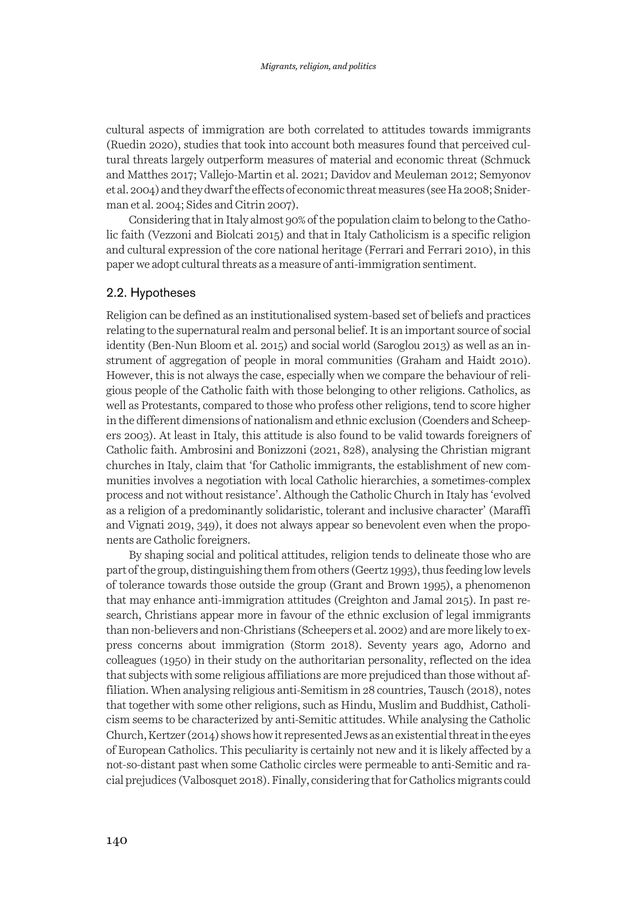cultural aspects of immigration are both correlated to attitudes towards immigrants (Ruedin 2020), studies that took into account both measures found that perceived cultural threats largely outperform measures of material and economic threat (Schmuck and Matthes 2017; Vallejo-Martin et al. 2021; Davidov and Meuleman 2012; Semyonov et al. 2004) and they dwarf the effects of economic threat measures (see Ha 2008; Sniderman et al. 2004; Sides and Citrin 2007).

Considering that in Italy almost 90% of the population claim to belong to the Catholic faith (Vezzoni and Biolcati 2015) and thatin Italy Catholicism is a specific religion and cultural expression of the core national heritage (Ferrari and Ferrari 2010), in this paper we adopt cultural threats as a measure of anti-immigration sentiment.

#### 2.2. Hypotheses

Religion can be defined as an institutionalised system-based set of beliefs and practices relating to the supernatural realm and personal belief. It is an important source of social identity (Ben-Nun Bloom et al. 2015) and social world (Saroglou 2013) as well as an instrument of aggregation of people in moral communities (Graham and Haidt 2010). However, this is not always the case, especially when we compare the behaviour of religious people of the Catholic faith with those belonging to other religions. Catholics, as well as Protestants, compared to those who profess other religions, tend to score higher in the different dimensions of nationalism and ethnic exclusion (Coenders and Scheepers 2003). At least in Italy, this attitude is also found to be valid towards foreigners of Catholic faith. Ambrosini and Bonizzoni (2021, 828), analysing the Christian migrant churches in Italy, claim that 'for Catholic immigrants, the establishment of new communities involves a negotiation with local Catholic hierarchies, a sometimes-complex process and not without resistance'. Although the Catholic Church in Italy has 'evolved as a religion of a predominantly solidaristic, tolerant and inclusive character' (Maraffi and Vignati 2019, 349), it does not always appear so benevolent even when the proponents are Catholic foreigners.

By shaping social and political attitudes, religion tends to delineate those who are part of the group, distinguishing them from others (Geertz 1993), thus feeding low levels of tolerance towards those outside the group (Grant and Brown 1995), a phenomenon that may enhance anti-immigration attitudes (Creighton and Jamal 2015). In past research, Christians appear more in favour of the ethnic exclusion of legal immigrants than non-believers and non-Christians (Scheepers et al. 2002) and are more likely to express concerns about immigration (Storm 2018). Seventy years ago, Adorno and colleagues (1950) in their study on the authoritarian personality, reflected on the idea that subjects with some religious affiliations are more prejudiced than those without affiliation. When analysing religious anti-Semitism in 28 countries, Tausch (2018), notes that together with some other religions, such as Hindu, Muslim and Buddhist, Catholicism seems to be characterized by anti-Semitic attitudes. While analysing the Catholic Church, Kertzer (2014) shows how it represented Jews as an existential threat in the eyes of European Catholics. This peculiarity is certainly not new and it is likely affected by a not-so-distant past when some Catholic circles were permeable to anti-Semitic and racial prejudices (Valbosquet 2018). Finally, considering that for Catholics migrants could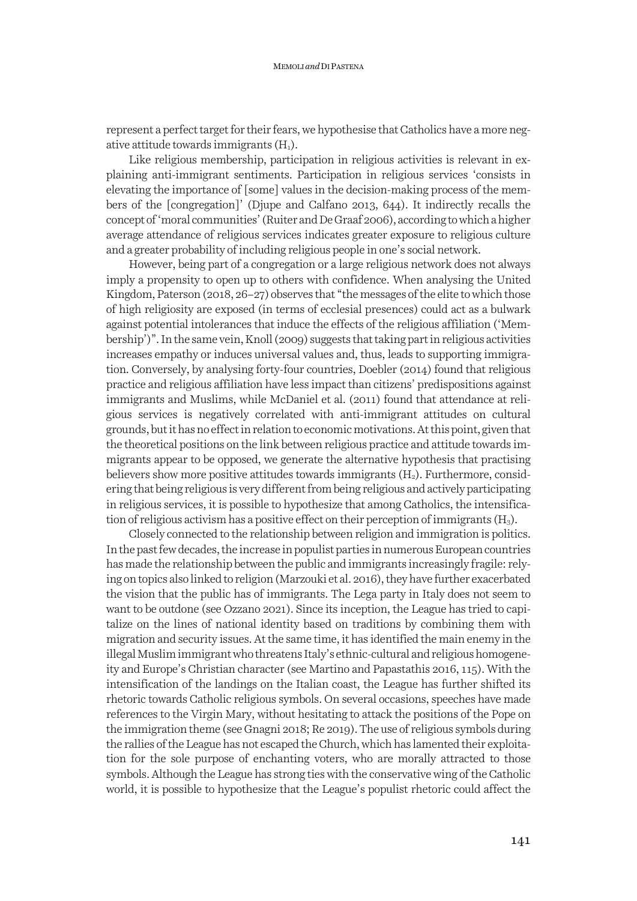represent a perfect target for their fears, we hypothesise that Catholics have a more negative attitude towards immigrants  $(H_1)$ .

Like religious membership, participation in religious activities is relevant in explaining anti-immigrant sentiments. Participation in religious services 'consists in elevating the importance of [some] values in the decision-making process of the members of the [congregation]' (Djupe and Calfano 2013, 644). It indirectly recalls the concept of 'moral communities' (Ruiter and De Graaf 2006), according to which a higher average attendance of religious services indicates greater exposure to religious culture and a greater probability of including religious people in one's social network.

However, being part of a congregation or a large religious network does not always imply a propensity to open up to others with confidence. When analysing the United Kingdom, Paterson  $(2018, 26-27)$  observes that "the messages of the elite to which those of high religiosity are exposed (in terms of ecclesial presences) could act as a bulwark against potential intolerances that induce the effects of the religious affiliation ('Membership')". In the same vein, Knoll (2009) suggests that taking part in religious activities increases empathy or induces universal values and, thus, leads to supporting immigration. Conversely, by analysing forty-four countries, Doebler (2014) found that religious practice and religious affiliation have less impact than citizens' predispositions against immigrants and Muslims, while McDaniel et al. (2011) found that attendance at religious services is negatively correlated with anti-immigrant attitudes on cultural grounds, but it has no effect in relation to economic motivations. At this point, given that the theoretical positions on the link between religious practice and attitude towards immigrants appear to be opposed, we generate the alternative hypothesis that practising believers show more positive attitudes towards immigrants  $(H_2)$ . Furthermore, considering that being religious is very different from being religious and actively participating in religious services, it is possible to hypothesize that among Catholics, the intensification of religious activism has a positive effect on their perception of immigrants  $(H_3)$ .

Closely connected to the relationship between religion and immigration is politics. In the past few decades, the increase in populist parties in numerous European countries has made the relationship between the public and immigrants increasingly fragile: relying on topics also linked to religion (Marzouki et al. 2016), they have further exacerbated the vision that the public has of immigrants. The Lega party in Italy does not seem to want to be outdone (see Ozzano 2021). Since its inception, the League has tried to capitalize on the lines of national identity based on traditions by combining them with migration and security issues. At the same time, it has identified the main enemy in the illegal Muslim immigrant who threatens Italy's ethnic-cultural and religious homogeneity and Europe's Christian character (see Martino and Papastathis 2016, 115). With the intensification of the landings on the Italian coast, the League has further shifted its rhetoric towards Catholic religious symbols. On several occasions, speeches have made references to the Virgin Mary, without hesitating to attack the positions of the Pope on the immigration theme (see Gnagni 2018; Re 2019). The use of religious symbols during the rallies of the League has not escaped the Church, which has lamented their exploitation for the sole purpose of enchanting voters, who are morally attracted to those symbols. Although the League has strong ties with the conservative wing of the Catholic world, it is possible to hypothesize that the League's populist rhetoric could affect the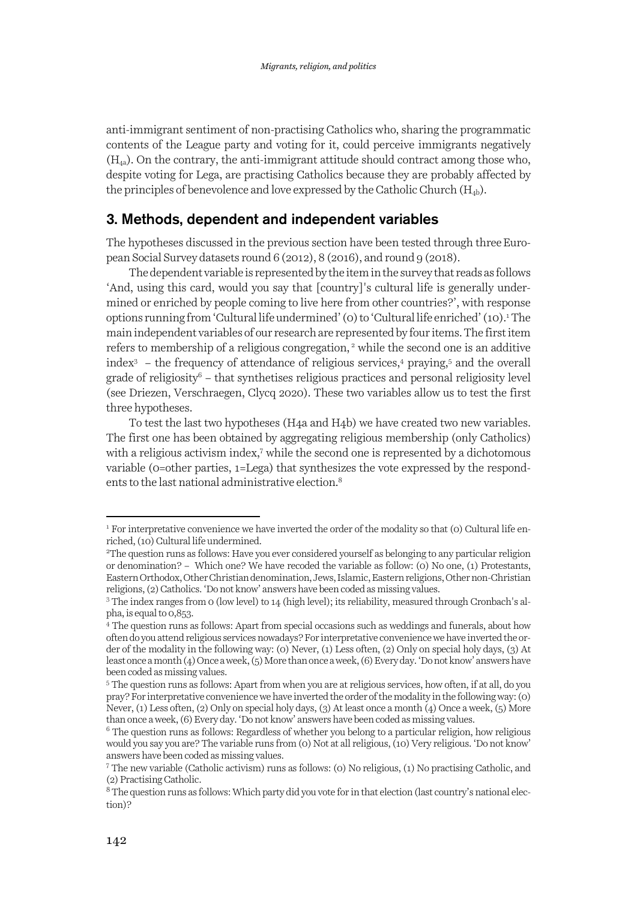anti-immigrant sentiment of non-practising Catholics who, sharing the programmatic contents of the League party and voting for it, could perceive immigrants negatively  $(H<sub>4a</sub>)$ . On the contrary, the anti-immigrant attitude should contract among those who, despite voting for Lega, are practising Catholics because they are probably affected by the principles of benevolence and love expressed by the Catholic Church  $(H_{4b})$ .

## 3. Methods, dependent and independent variables

The hypotheses discussed in the previous section have been tested through three European Social Survey datasets round 6 (2012), 8 (2016), and round 9 (2018).

The dependent variable is represented by the item in the survey that reads as follows 'And, using this card, would you say that [country]'s cultural life is generally undermined or enriched by people coming to live here from other countries?', with response options running from 'Cultural life undermined' (0) to 'Cultural life enriched' (10).<sup>1</sup>The main independent variables of our research are represented by four items. The first item refers to membership of a religious congregation,<sup>2</sup> while the second one is an additive index<sup>3</sup> – the frequency of attendance of religious services,<sup>4</sup> praying,<sup>5</sup> and the overall  $\beta$  grade of religiosity<sup>6</sup> – that synthetises religious practices and personal religiosity level (see Driezen, Verschraegen, Clycq 2020). These two variables allow us to test the first three hypotheses.

To test the last two hypotheses (H4a and H4b) we have created two new variables. The first one has been obtained by aggregating religious membership (only Catholics) with a religious activism index,<sup>7</sup> while the second one is represented by a dichotomous variable (0=other parties, 1=Lega) that synthesizes the vote expressed by the respondents to the last national administrative election.8

<sup>&</sup>lt;sup>1</sup> For interpretative convenience we have inverted the order of the modality so that (0) Cultural life enriched, (10) Cultural life undermined.

<sup>2</sup> The question runs as follows: Have you ever considered yourself as belonging to any particular religion or denomination? – Which one? We have recoded the variable as follow: (0) No one, (1) Protestants, Eastern Orthodox, Other Christian denomination, Jews, Islamic, Eastern religions, Other non-Christian religions, (2) Catholics. 'Do not know' answers have been coded as missing values.

<sup>3</sup> The index ranges from 0 (low level) to 14 (high level); its reliability, measured through Cronbach's alpha, is equal to 0,853.

<sup>4</sup> The question runs as follows: Apart from special occasions such as weddings and funerals, about how often do you attend religious services nowadays? For interpretative convenience we have inverted the order of the modality in the following way: (0) Never, (1) Less often, (2) Only on special holy days, (3) At least once a month (4) Once a week, (5) More than once a week, (6) Every day. 'Do not know' answers have been coded as missing values.

<sup>5</sup> The question runs as follows: Apart from when you are at religious services, how often, if at all, do you pray? For interpretative convenience we have inverted the order of the modality in the following way: (0) Never, (1) Less often, (2) Only on special holy days, (3) At least once a month (4) Once a week, (5) More than once a week, (6) Every day. 'Do not know' answers have been coded as missing values.

 $6$  The question runs as follows: Regardless of whether you belong to a particular religion, how religious would you say you are? The variable runs from (0) Not at all religious, (10) Very religious. 'Do not know' answers have been coded as missing values.

<sup>7</sup> The new variable (Catholic activism) runs as follows: (0) No religious, (1) No practising Catholic, and (2) Practising Catholic.

<sup>&</sup>lt;sup>8</sup> The question runs as follows: Which party did you vote for in that election (last country's national election)?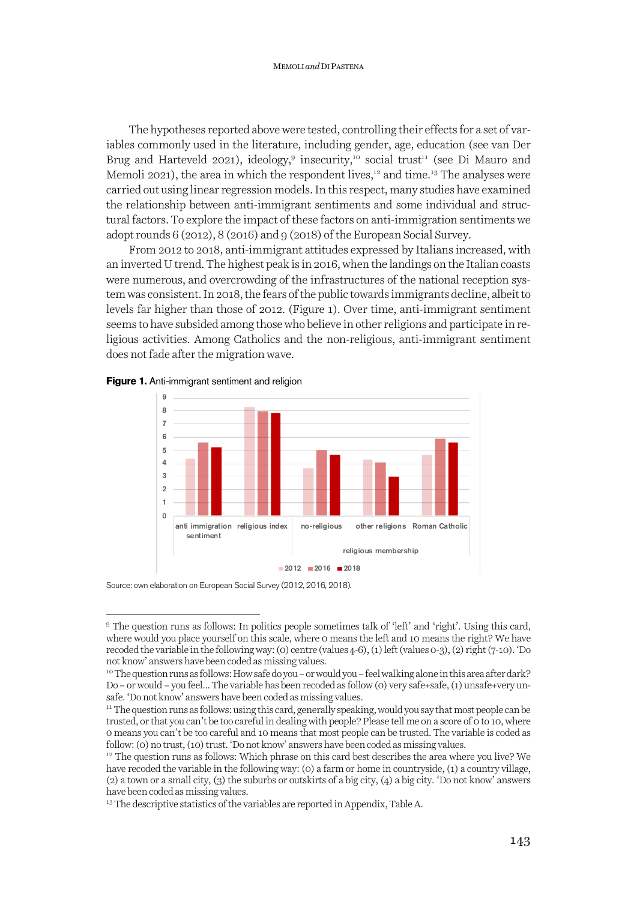The hypotheses reported above were tested, controlling their effects for a set of variables commonly used in the literature, including gender, age, education (see van Der Brug and Harteveld 2021), ideology,<sup>9</sup> insecurity,<sup>10</sup> social trust<sup>11</sup> (see Di Mauro and Memoli 2021), the area in which the respondent lives,<sup>12</sup> and time.<sup>13</sup> The analyses were carried out using linear regression models. In this respect, many studies have examined the relationship between anti-immigrant sentiments and some individual and structural factors. To explore the impact of these factors on anti-immigration sentiments we adopt rounds 6 (2012), 8 (2016) and 9 (2018) of the European Social Survey.

From 2012 to 2018, anti-immigrant attitudes expressed by Italians increased, with an inverted U trend. The highest peak is in 2016, when the landings on the Italian coasts were numerous, and overcrowding of the infrastructures of the national reception system was consistent. In 2018, the fears of the public towards immigrants decline, albeit to levels far higher than those of 2012. (Figure 1). Over time, anti-immigrant sentiment seems to have subsided among those who believe in other religions and participate inreligious activities. Among Catholics and the non-religious, anti-immigrant sentiment does not fade after the migration wave.





Source: own elaboration on European Social Survey (2012, 2016, 2018).

<sup>9</sup> The question runs as follows: In politics people sometimes talk of 'left' and 'right'. Using this card, where would you place yourself on this scale, where 0 means the left and 10 means the right? We have recoded the variable in the following way: (0) centre (values 4-6), (1) left(values 0-3), (2) right(7-10). 'Do not know' answers have been coded as missing values.

<sup>&</sup>lt;sup>10</sup>The question runs as follows: How safe do you – or would you – feel walking alone in this area after dark? Do – or would – you feel... The variable has been recoded as follow (0) very safe+safe, (1) unsafe+very unsafe. 'Do not know' answers have been coded as missing values.

<sup>&</sup>lt;sup>11</sup> The question runs as follows: using this card, generally speaking, would you say that most people can be trusted, or that you can't be too careful in dealing with people? Please tell me on a score of 0 to 10, where 0 means you can't be too careful and 10 means that most people can be trusted. The variable is coded as follow: (0) no trust, (10) trust. 'Do not know' answers have been coded as missing values.

 $12$  The question runs as follows: Which phrase on this card best describes the area where you live? We have recoded the variable in the following way: (0) a farm or home in countryside, (1) a country village, (2) a town or a small city, (3) the suburbs or outskirts of a big city, (4) a big city. 'Do not know' answers have been coded as missing values.

<sup>&</sup>lt;sup>13</sup> The descriptive statistics of the variables are reported in Appendix, Table A.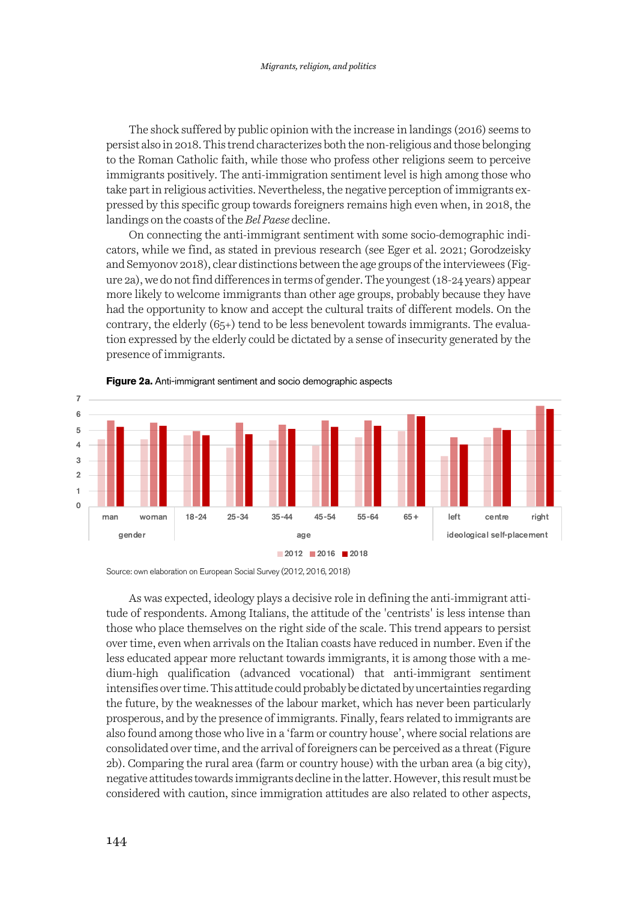The shock suffered by public opinion with the increase in landings (2016) seems to persist also in 2018. This trend characterizes both the non-religious and those belonging to the Roman Catholic faith, while those who profess other religions seem to perceive immigrants positively. The anti-immigration sentiment level is high among those who take part in religious activities. Nevertheless, the negative perception of immigrants expressed by this specific group towards foreigners remains high even when, in 2018, the landings on the coasts of the *Bel Paese* decline.

On connecting the anti-immigrant sentiment with some socio-demographic indicators, while we find, as stated in previous research (see Eger et al. 2021; Gorodzeisky and Semyonov 2018), clear distinctions between the age groups of the interviewees (Figure 2a), we do not find differences in terms of gender. The youngest (18-24 years) appear more likely to welcome immigrants than other age groups, probably because they have had the opportunity to know and accept the cultural traits of different models. On the contrary, the elderly  $(65+)$  tend to be less benevolent towards immigrants. The evaluation expressed by the elderly could be dictated by a sense of insecurity generated by the presence of immigrants.



**Figure 2a.** Anti-immigrant sentiment and socio demographic aspects

Source: own elaboration on European Social Survey (2012, 2016, 2018)

As was expected, ideology plays a decisive role in defining the anti-immigrant attitude of respondents. Among Italians, the attitude of the 'centrists' is less intense than those who place themselves on the right side of the scale. This trend appears to persist over time, even when arrivals on the Italian coasts have reduced in number. Even if the less educated appear more reluctant towards immigrants, it is among those with a medium-high qualification (advanced vocational) that anti-immigrant sentiment intensifies over time. This attitude could probably be dictated by uncertainties regarding the future, by the weaknesses of the labour market, which has never been particularly prosperous, and by the presence of immigrants. Finally, fears related to immigrants are also found among those who live in a 'farm or country house', where social relations are consolidated over time, and the arrival of foreigners can be perceived as a threat (Figure 2b). Comparing the rural area (farm or country house) with the urban area (a big city), negative attitudes towards immigrants decline in the latter. However, this result must be considered with caution, since immigration attitudes are also related to other aspects,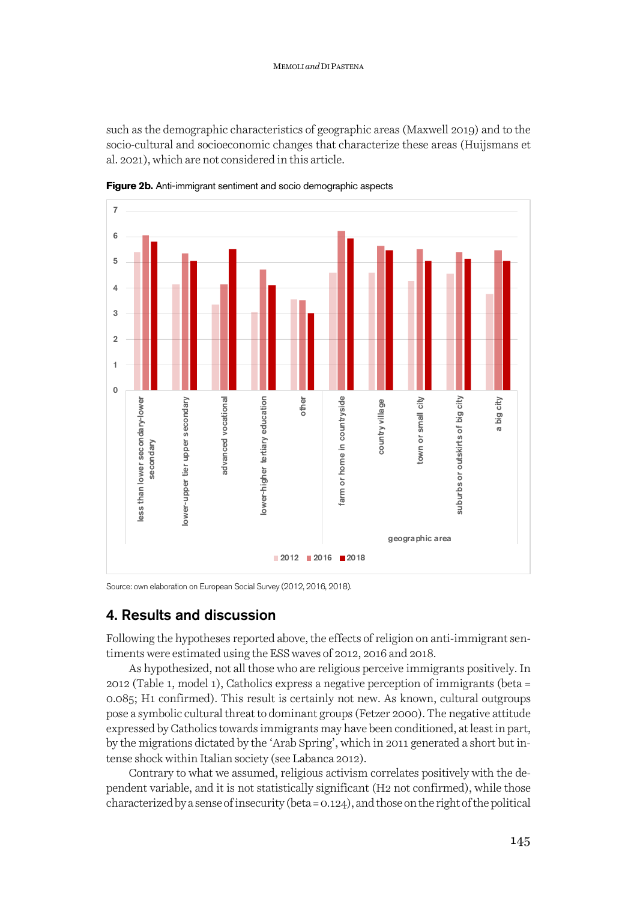such as the demographic characteristics of geographic areas (Maxwell 2019) and to the socio-cultural and socioeconomic changes that characterize these areas (Huijsmans et al. 2021), which are not considered in this article.



**Figure 2b.** Anti-immigrant sentiment and socio demographic aspects

Source: own elaboration on European Social Survey (2012, 2016, 2018).

## 4. Results and discussion

Following the hypotheses reported above, the effects of religion on anti-immigrant sentiments were estimated using the ESS waves of 2012, 2016 and 2018.

As hypothesized, not all those who are religious perceive immigrants positively. In 2012 (Table 1, model 1), Catholics express a negative perception of immigrants (beta = 0.085; H1 confirmed). This result is certainly not new. As known, cultural outgroups pose a symbolic cultural threat to dominant groups (Fetzer 2000). The negative attitude expressed by Catholics towards immigrants may have been conditioned, at least in part, by the migrations dictated by the 'Arab Spring', which in 2011 generated a short but intense shock within Italian society (see Labanca 2012).

Contrary to what we assumed, religious activism correlates positively with the dependent variable, and it is not statistically significant (H2 not confirmed), while those characterized by a sense of insecurity (beta = 0.124), and those on the right of the political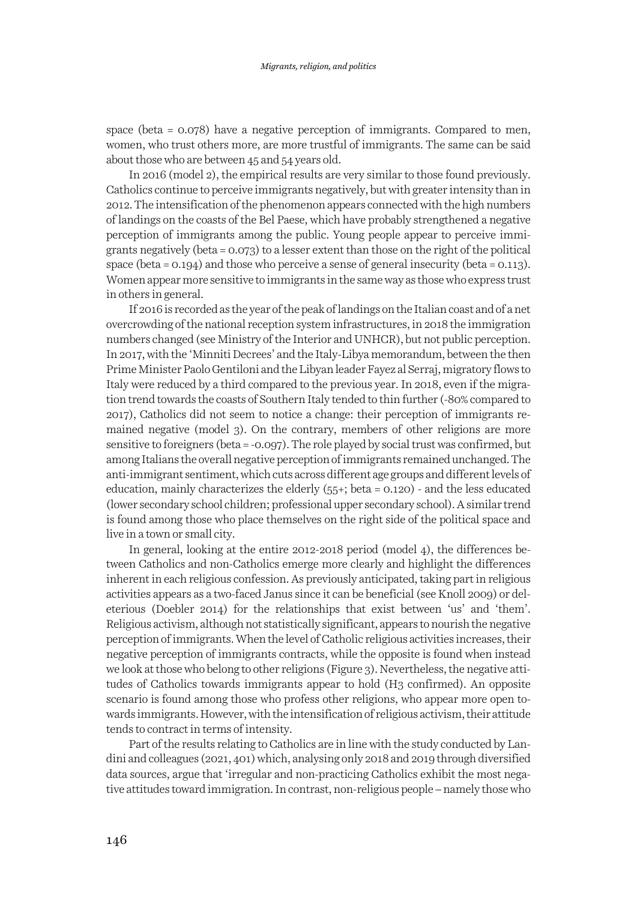space (beta = 0.078) have a negative perception of immigrants. Compared to men, women, who trust others more, are more trustful of immigrants. The same can be said about those who are between 45 and 54 years old.

In 2016 (model 2), the empirical results are very similar to those found previously. Catholics continue to perceive immigrants negatively, but with greater intensity than in 2012. The intensification of the phenomenon appears connected with the high numbers of landings on the coasts of the Bel Paese, which have probably strengthened a negative perception of immigrants among the public. Young people appear to perceive immigrants negatively (beta = 0.073) to a lesser extent than those on the right of the political space (beta =  $0.194$ ) and those who perceive a sense of general insecurity (beta =  $0.113$ ). Women appear more sensitive to immigrants in the same way as those who express trust in others in general.

If 2016 is recorded as the year of the peak of landings on the Italian coast and of a net overcrowding of the national reception system infrastructures, in 2018 the immigration numbers changed (see Ministry of the Interior and UNHCR), but not public perception. In 2017, with the 'Minniti Decrees' and the Italy-Libya memorandum, between the then Prime Minister Paolo Gentiloni and the Libyan leader Fayez al Serraj, migratory flows to Italy were reduced by a third compared to the previous year. In 2018, even if the migration trend towards the coasts of Southern Italy tended to thin further (-80% compared to 2017), Catholics did not seem to notice a change: their perception of immigrants remained negative (model 3). On the contrary, members of other religions are more sensitive to foreigners (beta = -0.097). The role played by social trust was confirmed, but among Italians the overall negative perception of immigrants remained unchanged. The anti-immigrant sentiment, which cuts across different age groups and different levels of education, mainly characterizes the elderly (55+; beta = 0.120) - and the less educated (lower secondary school children; professional upper secondary school). A similar trend is found among those who place themselves on the right side of the political space and live in a town or small city.

In general, looking at the entire 2012-2018 period (model 4), the differences between Catholics and non-Catholics emerge more clearly and highlight the differences inherent in each religious confession. As previously anticipated, taking part in religious activities appears as a two-faced Janus since it can be beneficial (see Knoll 2009) or deleterious (Doebler 2014) for the relationships that exist between 'us' and 'them'. Religious activism, although not statistically significant, appears to nourish the negative perception of immigrants. When the level of Catholic religious activities increases, their negative perception of immigrants contracts, while the opposite is found when instead we look at those who belong to other religions (Figure 3). Nevertheless, the negative attitudes of Catholics towards immigrants appear to hold (H3 confirmed). An opposite scenario is found among those who profess other religions, who appear more open towards immigrants. However, with the intensification of religious activism, their attitude tends to contract in terms of intensity.

Part of the results relating to Catholics are in line with the study conducted by Landini and colleagues (2021, 401) which, analysing only 2018 and 2019 through diversified data sources, argue that 'irregular and non-practicing Catholics exhibit the most negative attitudes toward immigration. In contrast, non-religious people – namely those who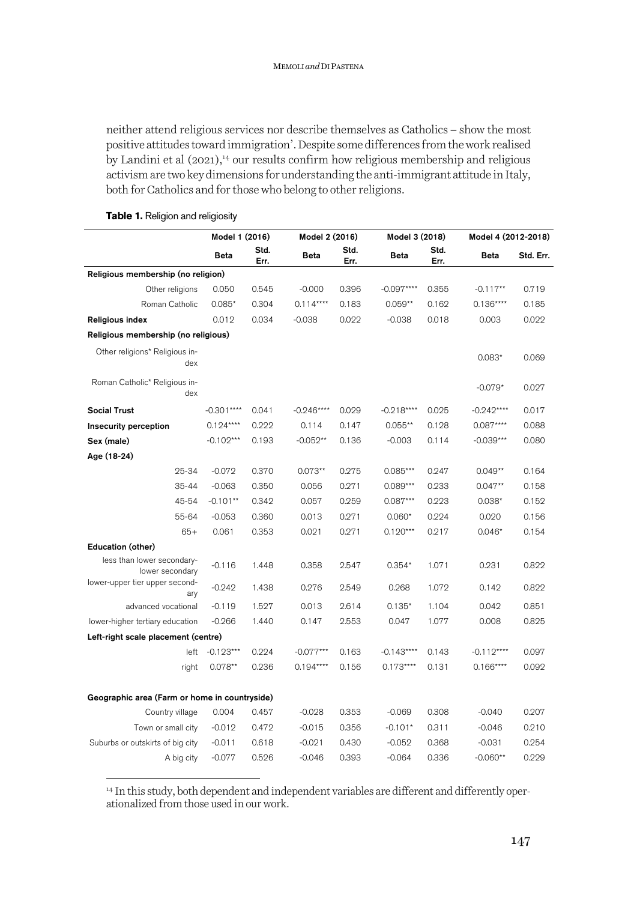neither attend religious services nor describe themselves as Catholics - show the most positive attitudes toward immigration'. Despite some differences from the work realised by Landini et al  $(2021)^{14}$  our results confirm how religious membership and religious activism are two key dimensions for understanding the anti-immigrant attitude in Italy, both for Catholics and for those who belong to other religions.

|                                               | Model 1 (2016) |              | Model 2 (2016) |              | Model 3 (2018) |              | Model 4 (2012-2018) |           |
|-----------------------------------------------|----------------|--------------|----------------|--------------|----------------|--------------|---------------------|-----------|
|                                               | <b>Beta</b>    | Std.<br>Err. | <b>Beta</b>    | Std.<br>Err. | <b>Beta</b>    | Std.<br>Err. | Beta                | Std. Err. |
| Religious membership (no religion)            |                |              |                |              |                |              |                     |           |
| Other religions                               | 0.050          | 0.545        | $-0.000$       | 0.396        | $-0.097***$    | 0.355        | $-0.117**$          | 0.719     |
| Roman Catholic                                | $0.085*$       | 0.304        | $0.114***$     | 0.183        | $0.059**$      | 0.162        | $0.136***$          | 0.185     |
| <b>Religious index</b>                        | 0.012          | 0.034        | $-0.038$       | 0.022        | $-0.038$       | 0.018        | 0.003               | 0.022     |
| Religious membership (no religious)           |                |              |                |              |                |              |                     |           |
| Other religions* Religious in-<br>dex         |                |              |                |              |                |              | $0.083*$            | 0.069     |
| Roman Catholic* Religious in-<br>dex          |                |              |                |              |                |              | $-0.079*$           | 0.027     |
| <b>Social Trust</b>                           | $-0.301***$    | 0.041        | $-0.246***$    | 0.029        | $-0.218***$    | 0.025        | $-0.242***$         | 0.017     |
| <b>Insecurity perception</b>                  | $0.124***$     | 0.222        | 0.114          | 0.147        | $0.055**$      | 0.128        | $0.087***$          | 0.088     |
| Sex (male)                                    | $-0.102***$    | 0.193        | $-0.052**$     | 0.136        | $-0.003$       | 0.114        | $-0.039***$         | 0.080     |
| Age (18-24)                                   |                |              |                |              |                |              |                     |           |
| 25-34                                         | $-0.072$       | 0.370        | $0.073**$      | 0.275        | $0.085***$     | 0.247        | $0.049**$           | 0.164     |
| 35-44                                         | $-0.063$       | 0.350        | 0.056          | 0.271        | $0.089***$     | 0.233        | $0.047**$           | 0.158     |
| 45-54                                         | $-0.101**$     | 0.342        | 0.057          | 0.259        | $0.087***$     | 0.223        | $0.038*$            | 0.152     |
| 55-64                                         | $-0.053$       | 0.360        | 0.013          | 0.271        | $0.060*$       | 0.224        | 0.020               | 0.156     |
| $65+$                                         | 0.061          | 0.353        | 0.021          | 0.271        | $0.120***$     | 0.217        | $0.046*$            | 0.154     |
| Education (other)                             |                |              |                |              |                |              |                     |           |
| less than lower secondary-<br>lower secondary | $-0.116$       | 1.448        | 0.358          | 2.547        | $0.354*$       | 1.071        | 0.231               | 0.822     |
| lower-upper tier upper second-<br>ary         | $-0.242$       | 1.438        | 0.276          | 2.549        | 0.268          | 1.072        | 0.142               | 0.822     |
| advanced vocational                           | $-0.119$       | 1.527        | 0.013          | 2.614        | $0.135*$       | 1.104        | 0.042               | 0.851     |
| lower-higher tertiary education               | $-0.266$       | 1.440        | 0.147          | 2.553        | 0.047          | 1.077        | 0.008               | 0.825     |
| Left-right scale placement (centre)           |                |              |                |              |                |              |                     |           |
| left                                          | $-0.123***$    | 0.224        | $-0.077***$    | 0.163        | $-0.143***$    | 0.143        | $-0.112***$         | 0.097     |
| right                                         | $0.078**$      | 0.236        | $0.194***$     | 0.156        | $0.173***$     | 0.131        | $0.166***$          | 0.092     |
| Geographic area (Farm or home in countryside) |                |              |                |              |                |              |                     |           |
| Country village                               | 0.004          | 0.457        | $-0.028$       | 0.353        | $-0.069$       | 0.308        | $-0.040$            | 0.207     |
| Town or small city                            | $-0.012$       | 0.472        | $-0.015$       | 0.356        | $-0.101*$      | 0.311        | $-0.046$            | 0.210     |
| Suburbs or outskirts of big city              | $-0.011$       | 0.618        | $-0.021$       | 0.430        | $-0.052$       | 0.368        | $-0.031$            | 0.254     |
| A big city                                    | $-0.077$       | 0.526        | $-0.046$       | 0.393        | $-0.064$       | 0.336        | $-0.060**$          | 0.229     |

#### **Table 1.** Religion and religiosity

<sup>14</sup> In this study, both dependent and independent variables are different and differently operationalized fromthose used in our work.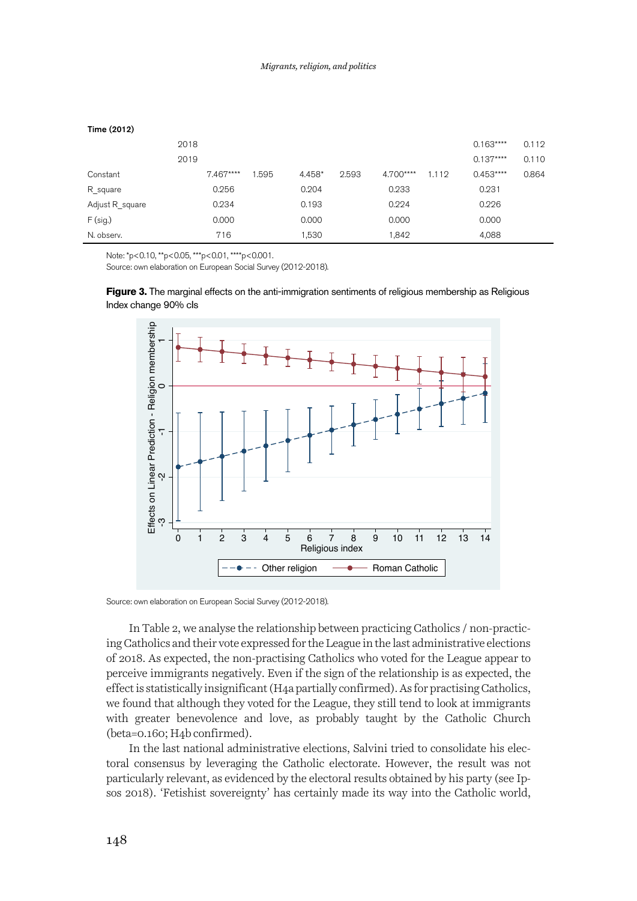| 2018       |       |        |       |           |       | $0.163***$ | 0.112 |
|------------|-------|--------|-------|-----------|-------|------------|-------|
| 2019       |       |        |       |           |       | $0.137***$ | 0.110 |
| $7.467***$ | 1.595 | 4.458* | 2.593 | 4.700**** | 1.112 | $0.453***$ | 0.864 |
| 0.256      |       | 0.204  |       | 0.233     |       | 0.231      |       |
| 0.234      |       | 0.193  |       | 0.224     |       | 0.226      |       |
| 0.000      |       | 0.000  |       | 0.000     |       | 0.000      |       |
| 716        |       | 1,530  |       | 1,842     |       | 4,088      |       |
|            |       |        |       |           |       |            |       |

 $T: m = (0.010)$ 

Note: \*p<0.10, \*\*p<0.05, \*\*\*p<0.01, \*\*\*\*p<0.001.

Source: own elaboration on European Social Survey (2012-2018).

Ferry 2018). The sostial source of the Catholic sources of the Catholic sources of the Catholic materials of the Catholic Motor Source world, and their vote carpes of or the League in the last administrative elections of 0 1 2 3 4 5 6 7 8 9 10 11 12 13 14 Religious index Other religion - **Comman Catholic** 

**Figure 3.** The marginal effects on the anti-immigration sentiments of religious membership as Religious Index change 90% cIs

Source: own elaboration on European Social Survey (2012-2018).

In Table 2, we analyse the relationship between practicing Catholics / non-practicing Catholics and their vote expressed for the League in the last administrative elections of 2018. As expected, the non-practising Catholics who voted for the League appear to perceive immigrants negatively. Even if the sign of the relationship is as expected, the effect is statistically insignificant (H4a partially confirmed). As for practising Catholics, we found that although they voted for the League, they still tend to look at immigrants with greater benevolence and love, as probably taught by the Catholic Church (beta=0.160; H4b confirmed).

In the last national administrative elections, Salvini tried to consolidate his electoral consensus by leveraging the Catholic electorate. However, the result was not particularly relevant, as evidenced by the electoral results obtained by his party (see Ip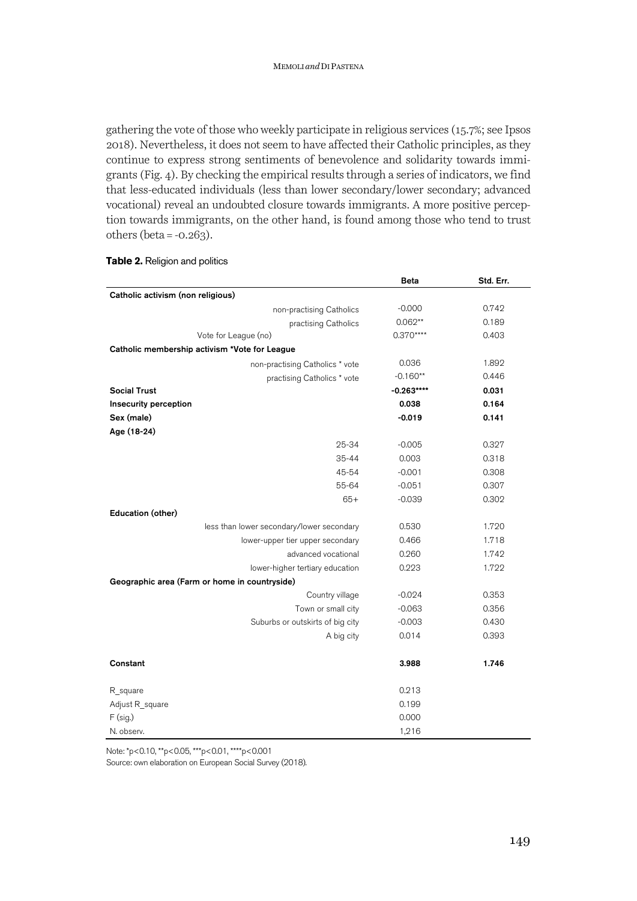gathering the vote of those who weekly participate in religious services (15.7%; see Ipsos 2018). Nevertheless, it does not seem to have affected their Catholic principles, as they continue to express strong sentiments of benevolence and solidarity towards immigrants (Fig. 4). By checking the empirical results through a series of indicators, we find that less-educated individuals (less than lower secondary/lower secondary; advanced vocational) reveal an undoubted closure towards immigrants. A more positive perception towards immigrants, on the other hand, is found among those who tend to trust others (beta =  $-0.263$ ).

| Table 2. Religion and politics |  |
|--------------------------------|--|
|--------------------------------|--|

|                                               | Beta        | Std. Err. |
|-----------------------------------------------|-------------|-----------|
| Catholic activism (non religious)             |             |           |
| non-practising Catholics                      | $-0.000$    | 0.742     |
| practising Catholics                          | $0.062**$   | 0.189     |
| Vote for League (no)                          | $0.370***$  | 0.403     |
| Catholic membership activism *Vote for League |             |           |
| non-practising Catholics * vote               | 0.036       | 1.892     |
| practising Catholics * vote                   | $-0.160**$  | 0.446     |
| <b>Social Trust</b>                           | $-0.263***$ | 0.031     |
| Insecurity perception                         | 0.038       | 0.164     |
| Sex (male)                                    | $-0.019$    | 0.141     |
| Age (18-24)                                   |             |           |
| 25-34                                         | $-0.005$    | 0.327     |
| $35 - 44$                                     | 0.003       | 0.318     |
| 45-54                                         | $-0.001$    | 0.308     |
| 55-64                                         | $-0.051$    | 0.307     |
| $65+$                                         | $-0.039$    | 0.302     |
| Education (other)                             |             |           |
| less than lower secondary/lower secondary     | 0.530       | 1.720     |
| lower-upper tier upper secondary              | 0.466       | 1.718     |
| advanced vocational                           | 0.260       | 1.742     |
| lower-higher tertiary education               | 0.223       | 1.722     |
| Geographic area (Farm or home in countryside) |             |           |
| Country village                               | $-0.024$    | 0.353     |
| Town or small city                            | $-0.063$    | 0.356     |
| Suburbs or outskirts of big city              | $-0.003$    | 0.430     |
| A big city                                    | 0.014       | 0.393     |
| Constant                                      | 3.988       | 1.746     |
| R square                                      | 0.213       |           |
| Adjust R_square                               | 0.199       |           |
| $F$ (sig.)                                    | 0.000       |           |
| N. observ.                                    | 1,216       |           |

Note: \*p<0.10, \*\*p<0.05, \*\*\*p<0.01, \*\*\*\*p<0.001 Source: own elaboration on European Social Survey (2018).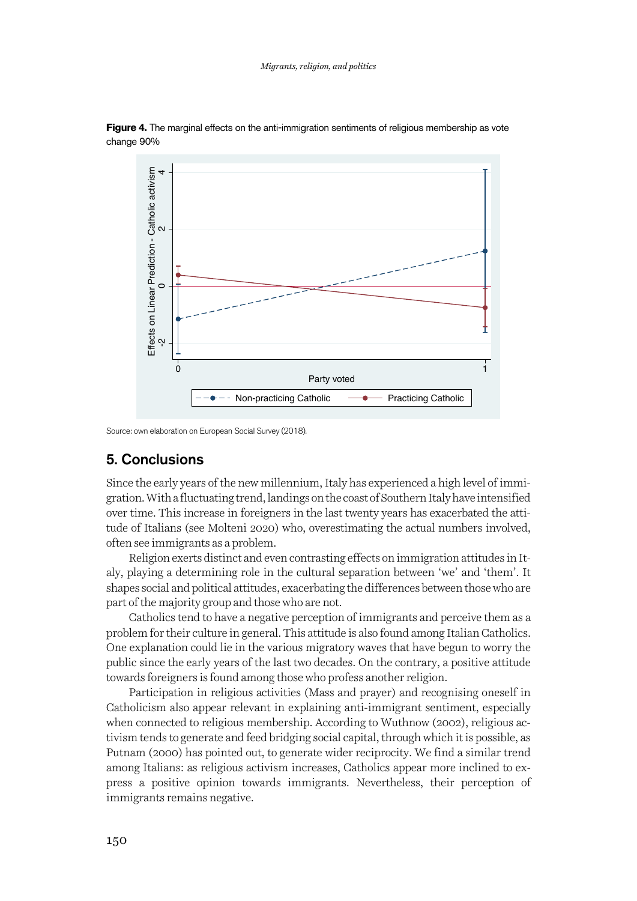

**Figure 4.** The marginal effects on the anti-immigration sentiments of religious membership as vote change 90%

Source: own elaboration on European Social Survey (2018).

## 5. Conclusions

Since the early years of the new millennium, Italy has experienced a high level of immigration. With a fluctuating trend, landings on the coast of Southern Italy have intensified over time. This increase in foreigners in the last twenty years has exacerbated the attitude of Italians (see Molteni 2020) who, overestimating the actual numbers involved, often see immigrants as a problem.

Religion exerts distinct and even contrasting effects on immigration attitudes in Italy, playing a determining role in the cultural separation between 'we' and 'them'. It shapes social and political attitudes, exacerbating the differences between those who are part of the majority group and those who are not.

Catholics tend to have a negative perception of immigrants and perceive them as a problem for their culture in general. This attitude is also found among Italian Catholics. One explanation could lie in the various migratory waves that have begun to worry the public since the early years of the last two decades. On the contrary, a positive attitude towards foreigners is found among those who profess another religion.

Participation in religious activities (Mass and prayer) and recognising oneself in Catholicism also appear relevant in explaining anti-immigrant sentiment, especially when connected to religious membership. According to Wuthnow (2002), religious activism tends to generate and feed bridging social capital, through which it is possible, as Putnam (2000) has pointed out, to generate wider reciprocity. We find a similar trend among Italians: as religious activism increases, Catholics appear more inclined to express a positive opinion towards immigrants. Nevertheless, their perception of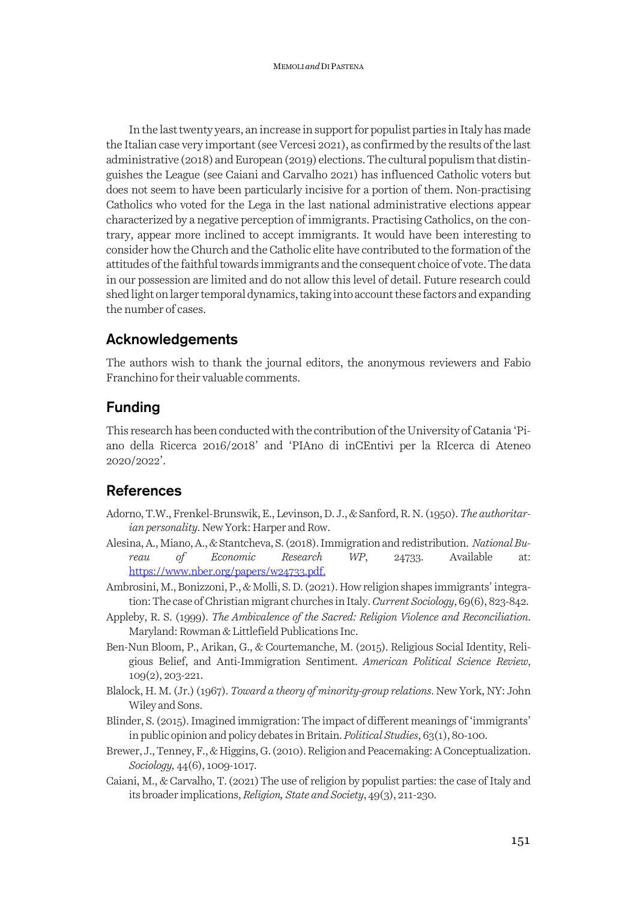In the last twenty years, an increase in support for populist parties in Italy has made the Italian case very important (see Vercesi 2021), as confirmed by the results of the last administrative (2018) and European (2019) elections. The cultural populism that distinguishes the League (see Caiani and Carvalho 2021) has influenced Catholic voters but does not seem to have been particularly incisive for a portion of them. Non-practising Catholics who voted for the Lega in the last national administrative elections appear characterized by a negative perception of immigrants. Practising Catholics, on the contrary, appear more inclined to accept immigrants. It would have been interesting to consider how the Church and the Catholic elite have contributed to the formation of the attitudes of the faithful towards immigrants and the consequent choice of vote. The data in our possession are limited and do not allow this level of detail. Future research could shed light on larger temporal dynamics, taking into account these factors and expanding the number of cases.

# Acknowledgements

The authors wish to thank the journal editors, the anonymous reviewers and Fabio Franchino for their valuable comments.

# Funding

This research has been conducted with the contribution of the University of Catania 'Piano della Ricerca 2016/2018' and 'PIAno di inCEntivi per la RIcerca di Ateneo 2020/2022'.

# References

- Adorno, T.W., Frenkel-Brunswik, E., Levinson, D. J., & Sanford, R. N. (1950). *The authoritarian personality*. New York: Harper and Row.
- Alesina, A., Miano, A., & Stantcheva, S. (2018). Immigration and redistribution. *National Bureau of Economic Research WP*, 24733. Available at: https://www.nber.org/papers/w24733.pdf.
- Ambrosini, M., Bonizzoni, P., & Molli, S. D. (2021). How religion shapes immigrants' integration: The case of Christian migrant churches in Italy.*Current Sociology*, 69(6), 823-842.
- Appleby, R. S. (1999). *The Ambivalence of the Sacred: Religion Violence and Reconciliation*. Maryland: Rowman & Littlefield Publications Inc.
- Ben-Nun Bloom, P., Arikan, G., & Courtemanche, M. (2015). Religious Social Identity, Religious Belief, and Anti-Immigration Sentiment. *American Political Science Review*, 109(2), 203-221.
- Blalock, H. M. (Jr.) (1967). *Toward a theory of minority-group relations*. New York, NY: John Wiley and Sons.
- Blinder, S. (2015). Imagined immigration: The impact of different meanings of 'immigrants' in public opinion and policy debates in Britain.*Political Studies*, 63(1), 80-100.
- Brewer, J., Tenney, F., & Higgins, G. (2010). Religion and Peacemaking: A Conceptualization. *Sociology,* 44(6), 1009-1017.
- Caiani, M., & Carvalho, T.(2021)The use of religion by populist parties: the case of Italy and its broader implications,*Religion, State and Society*, 49(3), 211-230.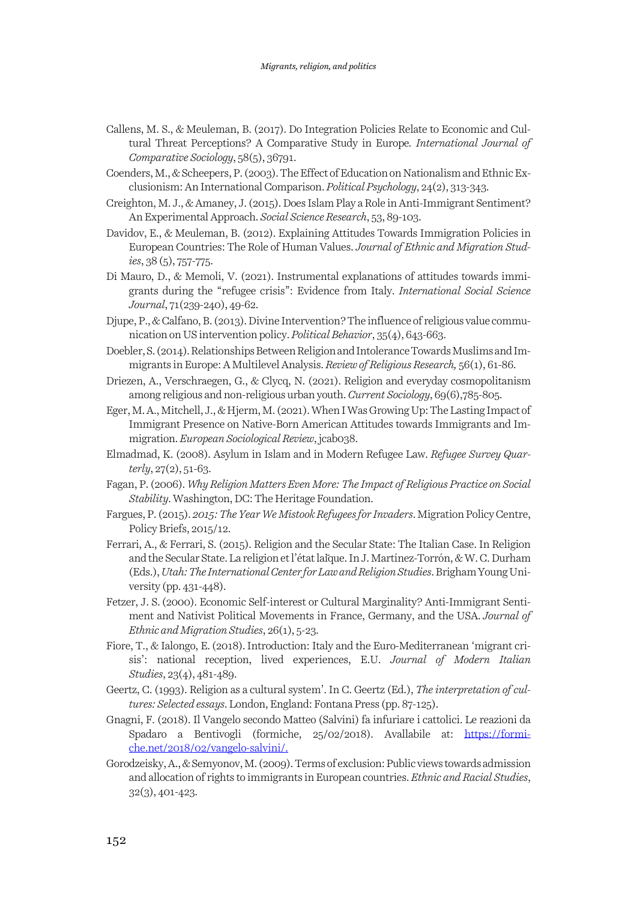- Callens, M. S., & Meuleman, B. (2017). Do Integration Policies Relate to Economic and Cultural Threat Perceptions? A Comparative Study in Europe*. International Journal of Comparative Sociology*, 58(5), 36791.
- Coenders, M., & Scheepers, P. (2003). The Effect of Education on Nationalism and Ethnic Exclusionism: An International Comparison. *Political Psychology*, 24(2), 313-343.
- Creighton, M. J., & Amaney, J. (2015). Does Islam Play a Role in Anti-Immigrant Sentiment? An Experimental Approach. *Social Science Research*, 53, 89-103.
- Davidov, E., & Meuleman, B. (2012). Explaining Attitudes Towards Immigration Policies in European Countries: The Role of Human Values. *Journal of Ethnic and Migration Studies*, 38 (5), 757-775.
- Di Mauro, D., & Memoli, V. (2021). Instrumental explanations of attitudes towards immigrants during the "refugee crisis": Evidence from Italy. *International Social Science Journal*, 71(239-240), 49-62.
- Djupe, P., & Calfano, B. (2013). Divine Intervention? The influence of religious value communication on US intervention policy. *Political Behavior*, 35(4), 643-663.
- Doebler, S. (2014). Relationships Between Religion and Intolerance Towards Muslims and Immigrants in Europe: A Multilevel Analysis. *Review of Religious Research,* 56(1), 61-86.
- Driezen, A., Verschraegen, G., & Clycq, N. (2021). Religion and everyday cosmopolitanism among religious and non-religious urban youth.*Current Sociology*, 69(6),785-805.
- Eger, M. A., Mitchell, J., & Hjerm, M. (2021). When I Was Growing Up: The Lasting Impact of Immigrant Presence on Native-Born American Attitudes towards Immigrants and Immigration.*European Sociological Review*, jcab038.
- Elmadmad, K. (2008). Asylum in Islam and in Modern Refugee Law. *Refugee Survey Quarterly*, 27(2), 51-63.
- Fagan, P. (2006). *Why Religion Matters Even More: The Impact of Religious Practice on Social Stability*. Washington, DC: The Heritage Foundation.
- Fargues, P. (2015). *2015: The Year We Mistook Refugees for Invaders*. Migration Policy Centre, Policy Briefs, 2015/12.
- Ferrari, A., & Ferrari, S. (2015). Religion and the Secular State: The Italian Case. In Religion and the Secular State. La religion et l'état laïque. In J. Martínez-Torrón, & W. C. Durham (Eds.), *Utah: The International Center for Law and Religion Studies*. Brigham Young University (pp. 431-448).
- Fetzer, J. S.(2000). Economic Self-interest or Cultural Marginality? Anti-Immigrant Sentiment and Nativist Political Movements in France, Germany, and the USA. *Journal of Ethnic and Migration Studies*, 26(1), 5-23.
- Fiore, T., & Ialongo, E.(2018).Introduction: Italy and the Euro-Mediterranean 'migrant crisis': national reception, lived experiences, E.U. *Journal of Modern Italian Studies*, 23(4), 481-489.
- Geertz, C. (1993). Religion as a cultural system'. In C. Geertz (Ed.), *The interpretation of cultures: Selected essays*. London, England: Fontana Press (pp. 87-125).
- Gnagni, F. (2018). Il Vangelo secondo Matteo (Salvini) fa infuriare i cattolici. Le reazioni da Spadaro a Bentivogli (formiche, 25/02/2018). Avallabile at: https://formiche.net/2018/02/vangelo-salvini/.
- Gorodzeisky, A., & Semyonov, M. (2009).Terms of exclusion: Public views towards admission and allocation of rights to immigrants in European countries. *Ethnic and Racial Studies*, 32(3), 401-423.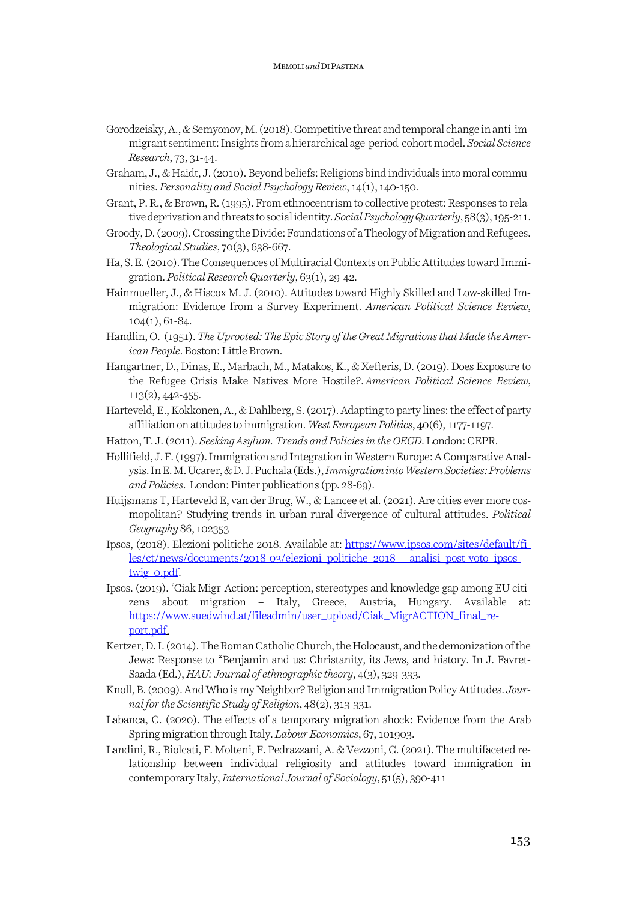- Gorodzeisky, A., & Semyonov, M. (2018). Competitive threat and temporal change in anti-immigrant sentiment: Insights from a hierarchical age-period-cohort model. *Social Science Research*, 73, 31-44.
- Graham, J., & Haidt, J. (2010).Beyond beliefs: Religions bind individuals into moral communities. *Personality and Social Psychology Review*, 14(1), 140-150.
- Grant, P. R., & Brown, R. (1995). From ethnocentrism to collective protest: Responses to relative deprivation and threats to social identity. *Social Psychology Quarterly*, 58(3), 195-211.
- Groody, D. (2009). Crossing the Divide: Foundations of a Theology of Migration and Refugees. *Theological Studies*, 70(3), 638-667.
- Ha, S. E. (2010). The Consequences of Multiracial Contexts on Public Attitudes toward Immigration. *Political Research Quarterly*, 63(1), 29-42.
- Hainmueller, J., & Hiscox M. J. (2010). Attitudes toward Highly Skilled and Low-skilled Immigration: Evidence from a Survey Experiment. *American Political Science Review*, 104(1), 61-84.
- Handlin, O. (1951).*The Uprooted: The Epic Story of the Great Migrations that Made the American People*.Boston: Little Brown.
- Hangartner, D., Dinas, E., Marbach, M., Matakos, K., & Xefteris, D. (2019). Does Exposure to the Refugee Crisis Make Natives More Hostile?.*American Political Science Review*, 113(2), 442-455.
- Harteveld, E., Kokkonen, A., & Dahlberg, S. (2017). Adapting to party lines: the effect of party affiliation on attitudes to immigration. *West European Politics*, 40(6), 1177-1197.
- Hatton, T. J. (2011). *Seeking Asylum. Trends and Policies in the OECD*. London: CEPR.
- Hollifield, J. F. (1997). Immigration and Integration in Western Europe: A Comparative Analysis. In E. M. Ucarer, & D. J. Puchala (Eds.), *Immigration into Western Societies: Problems and Policies*. London: Pinter publications (pp. 28-69).
- Huijsmans T, Harteveld E, van der Brug, W., & Lancee et al. (2021). Are cities ever more cosmopolitan? Studying trends in urban-rural divergence of cultural attitudes. *Political Geography* 86, 102353
- Ipsos, (2018). Elezioni politiche 2018. Available at: https://www.ipsos.com/sites/default/files/ct/news/documents/2018-03/elezioni\_politiche\_2018\_-\_analisi\_post-voto\_ipsostwig\_0.pdf.
- Ipsos. (2019). 'Ciak Migr-Action: perception, stereotypes and knowledge gap among EU citizens about migration – Italy, Greece, Austria, Hungary. Available at: https://www.suedwind.at/fileadmin/user\_upload/Ciak\_MigrACTION\_final\_report.pdf.
- Kertzer, D. I. (2014). The Roman Catholic Church, the Holocaust, and the demonization of the Jews: Response to "Benjamin and us: Christanity, its Jews, and history. In J. Favret-Saada (Ed.), *HAU: Journal of ethnographic theory*, 4(3), 329-333.
- Knoll, B. (2009). And Who is my Neighbor? Religion and Immigration Policy Attitudes. *Journal for the Scientific Study of Religion*, 48(2), 313-331.
- Labanca, C. (2020). The effects of a temporary migration shock: Evidence from the Arab Spring migration through Italy. *Labour Economics*, 67, 101903.
- Landini, R., Biolcati, F. Molteni, F. Pedrazzani, A. & Vezzoni, C. (2021). The multifaceted relationship between individual religiosity and attitudes toward immigration in contemporary Italy, *International Journal of Sociology*, 51(5), 390-411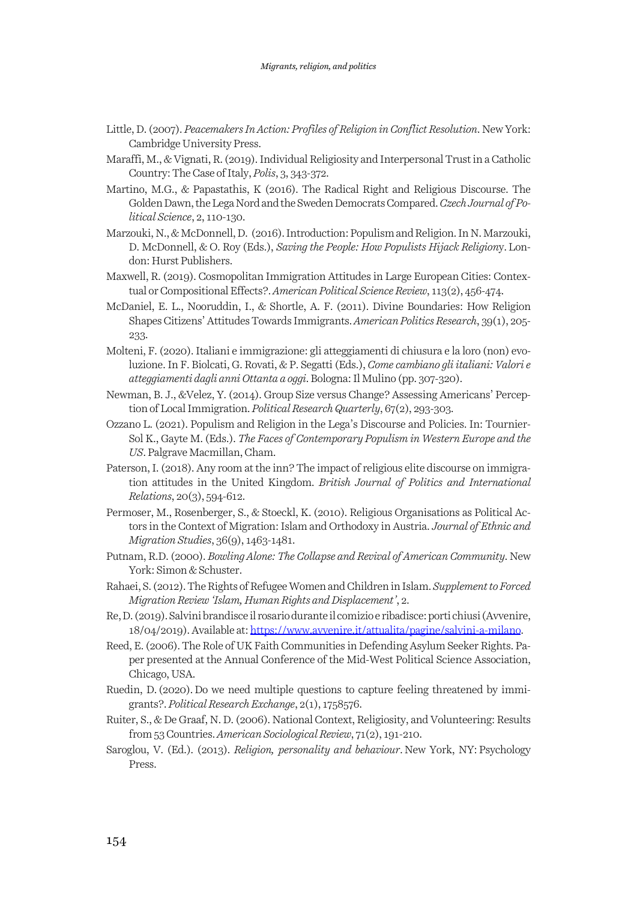- Little, D. (2007). *Peacemakers In Action: Profiles of Religion in Conflict Resolution*. New York: Cambridge University Press.
- Maraffi, M., & Vignati, R. (2019). Individual Religiosity and Interpersonal Trust in a Catholic Country: The Case of Italy,*Polis*, 3, 343-372.
- Martino, M.G., & Papastathis, K (2016). The Radical Right and Religious Discourse. The Golden Dawn, the Lega Nord and the Sweden Democrats Compared. *Czech Journal of Political Science*, 2, 110-130.
- Marzouki, N., & McDonnell, D. (2016). Introduction: Populism and Religion. In N. Marzouki, D. McDonnell, & O. Roy (Eds.), *Saving the People: How Populists Hijack Religion*y.London: Hurst Publishers.
- Maxwell, R. (2019). Cosmopolitan Immigration Attitudes in Large European Cities: Contextual or Compositional Effects?.*American Political Science Review*, 113(2), 456-474.
- McDaniel, E. L., Nooruddin, I., & Shortle, A. F. (2011). Divine Boundaries: How Religion Shapes Citizens' Attitudes Towards Immigrants. *American Politics Research*, 39(1), 205- 233.
- Molteni, F. (2020). Italiani e immigrazione: gli atteggiamenti di chiusura e la loro (non) evoluzione. In F. Biolcati, G. Rovati, & P. Segatti (Eds.), *Come cambiano gli italiani: Valori e atteggiamenti dagli anni Ottanta a oggi*. Bologna: Il Mulino (pp. 307-320).
- Newman, B. J., &Velez, Y. (2014). Group Size versus Change? Assessing Americans' Perception of Local Immigration. *Political Research Quarterly*, 67(2), 293-303.
- Ozzano L. (2021). Populism and Religion in the Lega's Discourse and Policies. In: Tournier-Sol K., Gayte M. (Eds.). *The Faces of Contemporary Populism in Western Europe and the US*. Palgrave Macmillan, Cham.
- Paterson, I. (2018). Any room at the inn? The impact of religious elite discourse on immigration attitudes in the United Kingdom. *British Journal of Politics and International Relations*, 20(3), 594-612.
- Permoser, M., Rosenberger, S., & Stoeckl, K. (2010). Religious Organisations as Political Actors in the Context of Migration: Islam and Orthodoxy in Austria. *Journal of Ethnic and Migration Studies*, 36(9), 1463-1481.
- Putnam, R.D. (2000). *Bowling Alone: The Collapse and Revival of American Community*. New York: Simon & Schuster.
- Rahaei, S. (2012). The Rights of Refugee Women and Children in Islam. *Supplement to Forced Migration Review 'Islam, Human Rights and Displacement'*, 2.
- Re, D. (2019). Salvini brandisce il rosario durante il comizio e ribadisce: porti chiusi (Avvenire, 18/04/2019). Available at: https://www.avvenire.it/attualita/pagine/salvini-a-milano.
- Reed, E. (2006). The Role of UK Faith Communities in Defending Asylum Seeker Rights. Paper presented at the Annual Conference of the Mid-West Political Science Association, Chicago, USA.
- Ruedin, D.(2020). Do we need multiple questions to capture feeling threatened by immigrants?. *Political Research Exchange*, 2(1), 1758576.
- Ruiter, S., & De Graaf, N. D. (2006). National Context, Religiosity, and Volunteering: Results from 53 Countries. *American Sociological Review*, 71(2), 191-210.
- Saroglou, V. (Ed.). (2013). *Religion, personality and behaviour*. New York, NY: Psychology Press.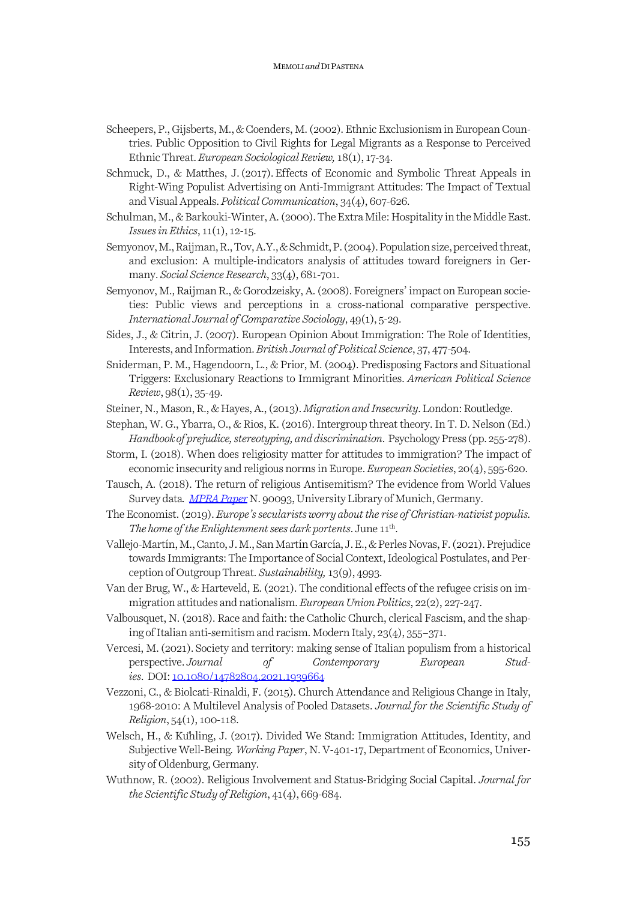- Scheepers, P., Gijsberts, M., & Coenders, M. (2002). Ethnic Exclusionism in European Countries. Public Opposition to Civil Rights for Legal Migrants as a Response to Perceived Ethnic Threat. *European Sociological Review,* 18(1), 17-34.
- Schmuck, D., & Matthes, J.(2017).Effects of Economic and Symbolic Threat Appeals in Right-Wing Populist Advertising on Anti-Immigrant Attitudes: The Impact of Textual and Visual Appeals. *Political Communication*, 34(4), 607-626.
- Schulman, M., & Barkouki-Winter, A. (2000). The Extra Mile: Hospitality in the Middle East. *Issues in Ethics*, 11(1), 12-15.
- Semyonov, M., Raijman, R., Tov, A.Y., & Schmidt, P. (2004). Population size, perceived threat, and exclusion: A multiple-indicators analysis of attitudes toward foreigners in Germany. *Social Science Research*, 33(4), 681-701.
- Semyonov, M., Raijman R., & Gorodzeisky, A. (2008). Foreigners' impact on European societies: Public views and perceptions in a cross-national comparative perspective. *International Journal of Comparative Sociology*, 49(1), 5-29.
- Sides, J., & Citrin, J. (2007). European Opinion About Immigration: The Role of Identities, Interests, and Information. *British Journal of Political Science*, 37, 477-504.
- Sniderman, P. M., Hagendoorn, L., & Prior, M. (2004). Predisposing Factors and Situational Triggers: Exclusionary Reactions to Immigrant Minorities. *American Political Science Review*, 98(1), 35-49.
- Steiner, N., Mason, R., & Hayes, A., (2013). *Migration and Insecurity*. London: Routledge.
- Stephan, W. G., Ybarra, O., & Rios, K. (2016). Intergroup threat theory. In T. D. Nelson (Ed.) *Handbook of prejudice, stereotyping, and discrimination*. Psychology Press (pp. 255-278).
- Storm, I. (2018). When does religiosity matter for attitudes to immigration? The impact of economic insecurity and religious norms in Europe. *European Societies*, 20(4), 595-620.
- Tausch, A. (2018). The return of religious Antisemitism? The evidence from World Values Survey data. MPRA Paper N. 90093, University Library of Munich, Germany.
- The Economist. (2019). *Europe's secularists worry about the rise of Christian-nativist populis. The home of the Enlightenment sees dark portents*. June 11<sup>th</sup>.
- Vallejo-Martín, M., Canto, J. M., San Martín García, J. E., & Perles Novas, F. (2021). Prejudice towards Immigrants: The Importance of Social Context, Ideological Postulates, and Perception of Outgroup Threat. *Sustainability,* 13(9), 4993.
- Van der Brug, W., & Harteveld, E. (2021). The conditional effects of the refugee crisis on immigration attitudes and nationalism.*European Union Politics*, 22(2), 227-247.
- Valbousquet, N. (2018). Race and faith: the Catholic Church, clerical Fascism, and the shaping of Italian anti-semitism and racism. Modern Italy, 23(4), 355–371.
- Vercesi, M.(2021). Society and territory: making sense of Italian populism from a historical perspective. *Journal of Contemporary European Studies*. DOI: 10.1080/14782804.2021.1939664
- Vezzoni, C., & Biolcati-Rinaldi, F. (2015). Church Attendance and Religious Change in Italy, 1968-2010: A Multilevel Analysis of Pooled Datasets. *Journal for the Scientific Study of Religion*, 54(1), 100-118.
- Welsch, H., & Kühling, J. (2017). Divided We Stand: Immigration Attitudes, Identity, and Subjective Well-Being*. Working Paper*, N. V-401-17, Department of Economics, University of Oldenburg, Germany.
- Wuthnow, R. (2002). Religious Involvement and Status-Bridging Social Capital. *Journal for the Scientific Study of Religion*, 41(4), 669-684.